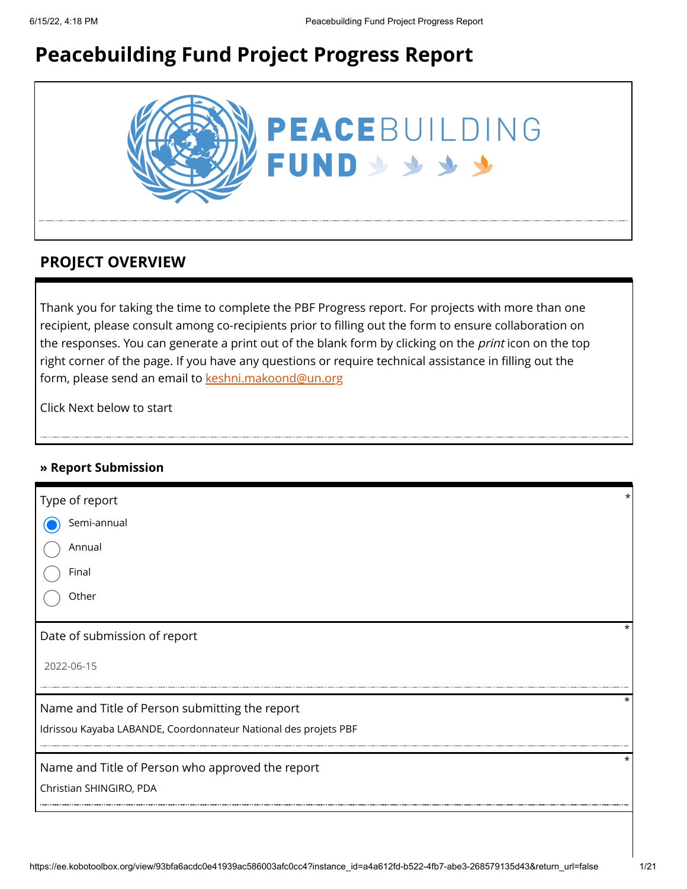# **Peacebuilding Fund Project Progress Report**



## **PROJECT OVERVIEW**

Thank you for taking the time to complete the PBF Progress report. For projects with more than one recipient, please consult among co-recipients prior to filling out the form to ensure collaboration on the responses. You can generate a print out of the blank form by clicking on the *print* icon on the top right corner of the page. If you have any questions or require technical assistance in filling out the form, please send an email to [keshni.makoond@un.org](https://ee.kobotoolbox.org/view/keshni.makoond@un.org)

Click Next below to start

### **» Report Submission**

| Type of report                                                  | *        |
|-----------------------------------------------------------------|----------|
| Semi-annual                                                     |          |
| Annual                                                          |          |
| Final                                                           |          |
| Other                                                           |          |
| Date of submission of report                                    | $^\star$ |
| 2022-06-15                                                      |          |
| Name and Title of Person submitting the report                  | $\star$  |
| Idrissou Kayaba LABANDE, Coordonnateur National des projets PBF |          |
| Name and Title of Person who approved the report                | $^\star$ |
| Christian SHINGIRO, PDA                                         |          |
|                                                                 |          |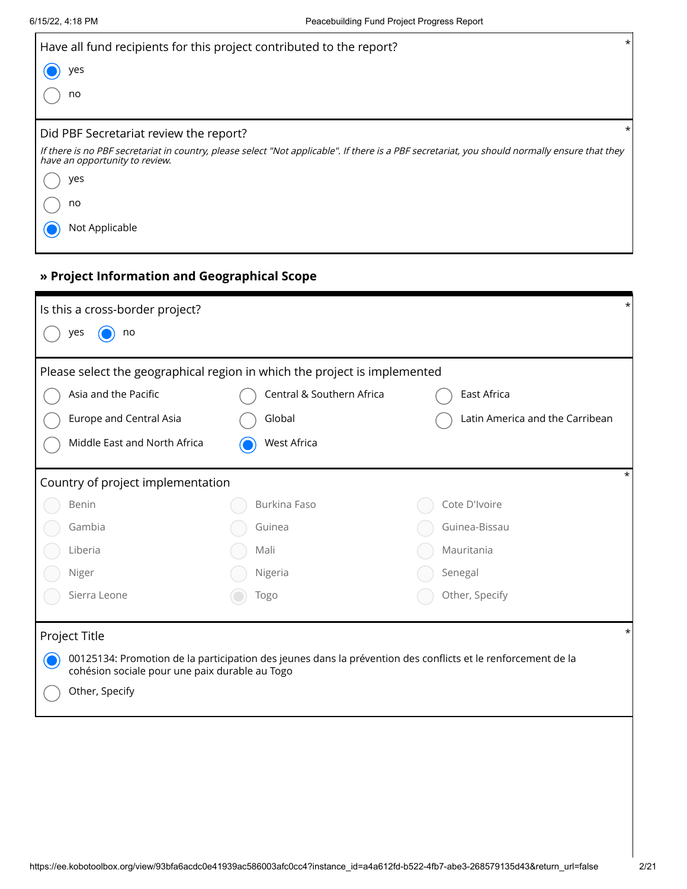| Have all fund recipients for this project contributed to the report?                                                                                                             | $\star$ |
|----------------------------------------------------------------------------------------------------------------------------------------------------------------------------------|---------|
| yes                                                                                                                                                                              |         |
| no                                                                                                                                                                               |         |
| Did PBF Secretariat review the report?                                                                                                                                           | $\star$ |
| If there is no PBF secretariat in country, please select "Not applicable". If there is a PBF secretariat, you should normally ensure that they<br>have an opportunity to review. |         |
| yes                                                                                                                                                                              |         |
| no                                                                                                                                                                               |         |
| Not Applicable                                                                                                                                                                   |         |

## **» Project Information and Geographical Scope**

| Is this a cross-border project?                                                                                                                                |                           | $^\star$                        |  |  |  |  |  |
|----------------------------------------------------------------------------------------------------------------------------------------------------------------|---------------------------|---------------------------------|--|--|--|--|--|
| yes<br>no                                                                                                                                                      |                           |                                 |  |  |  |  |  |
| Please select the geographical region in which the project is implemented                                                                                      |                           |                                 |  |  |  |  |  |
| Asia and the Pacific                                                                                                                                           | Central & Southern Africa | East Africa                     |  |  |  |  |  |
| <b>Europe and Central Asia</b>                                                                                                                                 | Global                    | Latin America and the Carribean |  |  |  |  |  |
| Middle East and North Africa                                                                                                                                   | West Africa               |                                 |  |  |  |  |  |
| Country of project implementation                                                                                                                              |                           | $\star$                         |  |  |  |  |  |
| Benin                                                                                                                                                          | Burkina Faso              | Cote D'Ivoire                   |  |  |  |  |  |
| Gambia                                                                                                                                                         | Guinea                    | Guinea-Bissau                   |  |  |  |  |  |
| Liberia                                                                                                                                                        | Mali                      | Mauritania                      |  |  |  |  |  |
| Niger                                                                                                                                                          | Nigeria                   | Senegal                         |  |  |  |  |  |
| Sierra Leone                                                                                                                                                   | Togo                      | Other, Specify                  |  |  |  |  |  |
| $\star$<br>Project Title                                                                                                                                       |                           |                                 |  |  |  |  |  |
| 00125134: Promotion de la participation des jeunes dans la prévention des conflicts et le renforcement de la<br>cohésion sociale pour une paix durable au Togo |                           |                                 |  |  |  |  |  |
| Other, Specify                                                                                                                                                 |                           |                                 |  |  |  |  |  |
|                                                                                                                                                                |                           |                                 |  |  |  |  |  |
|                                                                                                                                                                |                           |                                 |  |  |  |  |  |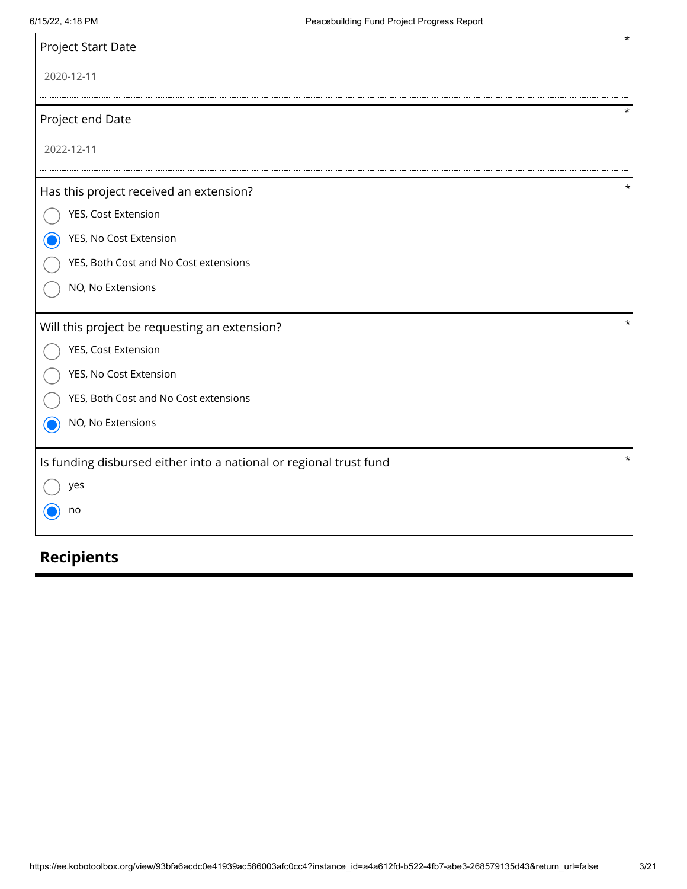| Project Start Date                                                 | $\star$ |
|--------------------------------------------------------------------|---------|
| 2020-12-11                                                         |         |
| Project end Date                                                   | *       |
| 2022-12-11                                                         |         |
| Has this project received an extension?                            | *       |
| YES, Cost Extension                                                |         |
| YES, No Cost Extension                                             |         |
| YES, Both Cost and No Cost extensions                              |         |
| NO, No Extensions                                                  |         |
| Will this project be requesting an extension?                      | *       |
| YES, Cost Extension                                                |         |
| YES, No Cost Extension                                             |         |
| YES, Both Cost and No Cost extensions                              |         |
| NO, No Extensions                                                  |         |
| Is funding disbursed either into a national or regional trust fund | *       |
| yes                                                                |         |
| no                                                                 |         |

## **Recipients**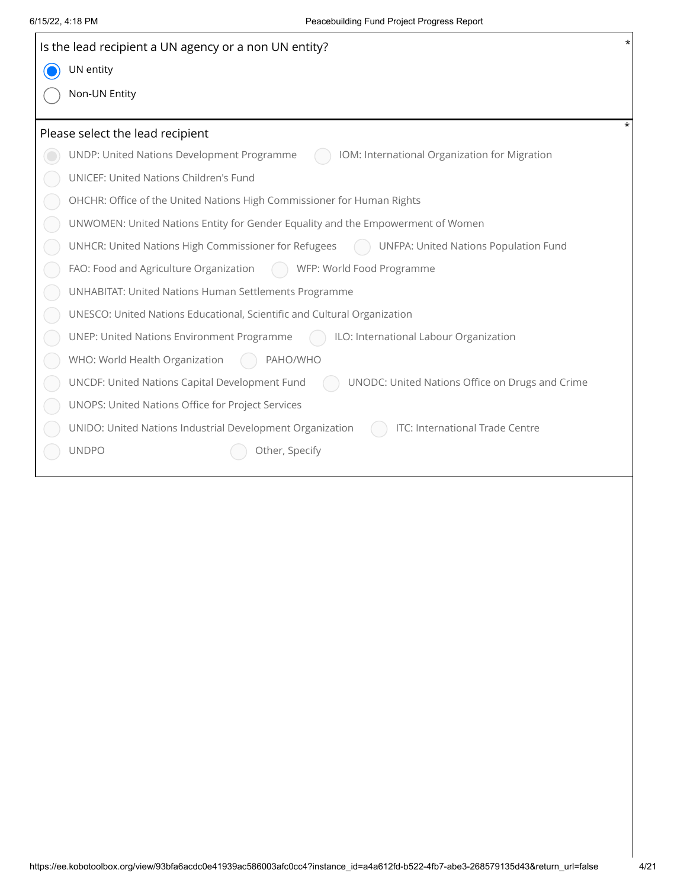|            | Is the lead recipient a UN agency or a non UN entity?                                              |  |
|------------|----------------------------------------------------------------------------------------------------|--|
| $\bullet$  | UN entity                                                                                          |  |
|            | Non-UN Entity                                                                                      |  |
|            | Please select the lead recipient                                                                   |  |
| $\bigcirc$ | IOM: International Organization for Migration<br>UNDP: United Nations Development Programme        |  |
|            | UNICEF: United Nations Children's Fund                                                             |  |
|            | OHCHR: Office of the United Nations High Commissioner for Human Rights                             |  |
|            | UNWOMEN: United Nations Entity for Gender Equality and the Empowerment of Women                    |  |
|            | UNHCR: United Nations High Commissioner for Refugees<br>UNFPA: United Nations Population Fund<br>( |  |
|            | FAO: Food and Agriculture Organization<br>WFP: World Food Programme                                |  |
|            | UNHABITAT: United Nations Human Settlements Programme                                              |  |
|            | UNESCO: United Nations Educational, Scientific and Cultural Organization                           |  |
|            | ILO: International Labour Organization<br>UNEP: United Nations Environment Programme               |  |
|            | WHO: World Health Organization<br>PAHO/WHO                                                         |  |
|            | UNCDF: United Nations Capital Development Fund<br>UNODC: United Nations Office on Drugs and Crime  |  |
|            | UNOPS: United Nations Office for Project Services                                                  |  |
|            | UNIDO: United Nations Industrial Development Organization<br>ITC: International Trade Centre       |  |
|            | <b>UNDPO</b><br>Other, Specify                                                                     |  |
|            |                                                                                                    |  |
|            |                                                                                                    |  |
|            |                                                                                                    |  |
|            |                                                                                                    |  |
|            |                                                                                                    |  |
|            |                                                                                                    |  |
|            |                                                                                                    |  |
|            |                                                                                                    |  |
|            |                                                                                                    |  |
|            |                                                                                                    |  |
|            |                                                                                                    |  |
|            |                                                                                                    |  |
|            |                                                                                                    |  |
|            |                                                                                                    |  |
|            |                                                                                                    |  |
|            |                                                                                                    |  |
|            |                                                                                                    |  |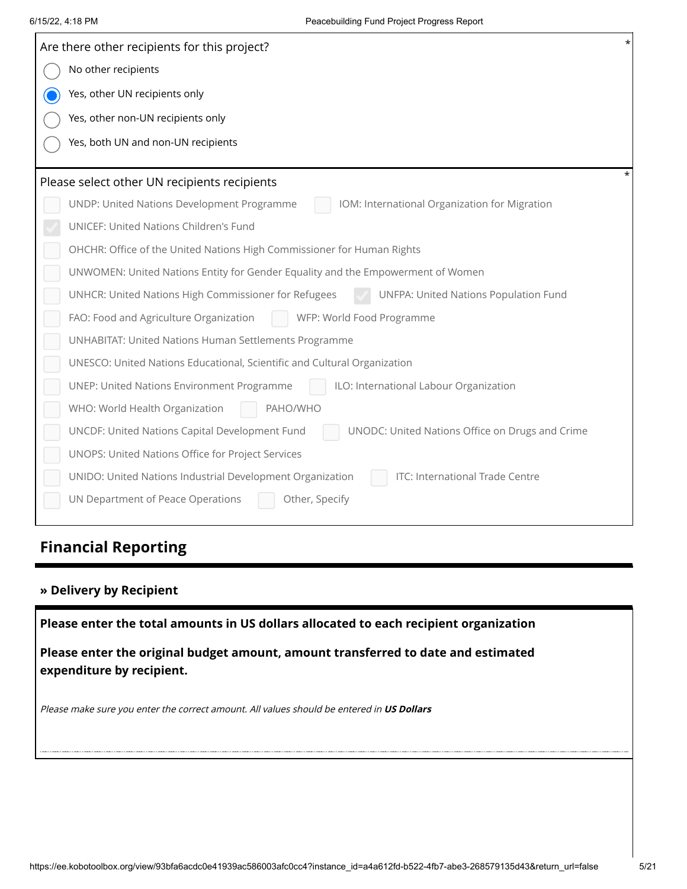| Are there other recipients for this project?                                                             |
|----------------------------------------------------------------------------------------------------------|
| No other recipients                                                                                      |
| Yes, other UN recipients only                                                                            |
| Yes, other non-UN recipients only                                                                        |
| Yes, both UN and non-UN recipients                                                                       |
|                                                                                                          |
| Please select other UN recipients recipients                                                             |
| UNDP: United Nations Development Programme<br>IOM: International Organization for Migration              |
| UNICEF: United Nations Children's Fund                                                                   |
| OHCHR: Office of the United Nations High Commissioner for Human Rights                                   |
| UNWOMEN: United Nations Entity for Gender Equality and the Empowerment of Women                          |
| UNHCR: United Nations High Commissioner for Refugees<br><b>UNFPA: United Nations Population Fund</b>     |
| FAO: Food and Agriculture Organization<br>WFP: World Food Programme                                      |
| UNHABITAT: United Nations Human Settlements Programme                                                    |
| UNESCO: United Nations Educational, Scientific and Cultural Organization                                 |
| <b>UNEP: United Nations Environment Programme</b><br>ILO: International Labour Organization              |
| WHO: World Health Organization<br>PAHO/WHO                                                               |
| UNODC: United Nations Office on Drugs and Crime<br><b>UNCDF: United Nations Capital Development Fund</b> |
| UNOPS: United Nations Office for Project Services                                                        |
| UNIDO: United Nations Industrial Development Organization<br>ITC: International Trade Centre             |
| UN Department of Peace Operations<br>Other, Specify                                                      |
|                                                                                                          |
| <b>Financial Reporting</b>                                                                               |
|                                                                                                          |
| » Delivery by Recipient                                                                                  |
| Please enter the total amounts in US dollars allocated to each recipient organization                    |
| Please enter the original budget amount, amount transferred to date and estimated                        |
| expenditure by recipient.                                                                                |
|                                                                                                          |
| Please make sure you enter the correct amount. All values should be entered in US Dollars                |
|                                                                                                          |
|                                                                                                          |
|                                                                                                          |
|                                                                                                          |
|                                                                                                          |

## **Financial Reporting**

### **» Delivery by Recipient**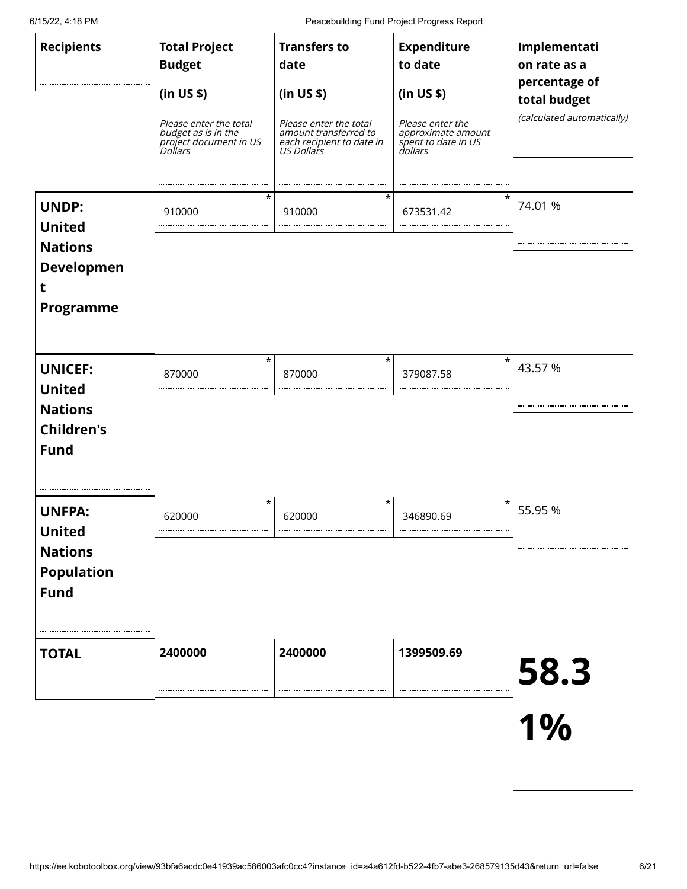| <b>Recipients</b>                                                                             | <b>Total Project</b><br><b>Budget</b><br>(in US \$)<br>Please enter the total<br>budget as is in the<br>project document in US<br>Dollars | <b>Transfers to</b><br>date<br>(in US \$)<br>Please enter the total<br>amount transferred to<br>each recipient to date in<br>US Dollars | <b>Expenditure</b><br>to date<br>(in US \$)<br>Please enter the<br>approximate amount<br>spendance since<br>spent to date in US<br>dollars | Implementati<br>on rate as a<br>percentage of<br>total budget<br>(calculated automatically) |
|-----------------------------------------------------------------------------------------------|-------------------------------------------------------------------------------------------------------------------------------------------|-----------------------------------------------------------------------------------------------------------------------------------------|--------------------------------------------------------------------------------------------------------------------------------------------|---------------------------------------------------------------------------------------------|
| <b>UNDP:</b><br><b>United</b><br><b>Nations</b><br><b>Developmen</b><br>t<br><b>Programme</b> | $^\star$<br>910000                                                                                                                        | $^\star$<br>910000                                                                                                                      | 673531.42                                                                                                                                  | 74.01 %                                                                                     |
| <b>UNICEF:</b><br><b>United</b><br><b>Nations</b><br><b>Children's</b><br><b>Fund</b>         | $\star$<br>870000                                                                                                                         | $\star$<br>870000                                                                                                                       | $\star$<br>379087.58                                                                                                                       | 43.57 %                                                                                     |
| <b>UNFPA:</b><br><b>United</b><br><b>Nations</b><br><b>Population</b><br><b>Fund</b>          | $^\star$<br>620000                                                                                                                        | $^\star$<br>620000                                                                                                                      | $^\star$<br>346890.69                                                                                                                      | 55.95 %                                                                                     |
| <b>TOTAL</b>                                                                                  | 2400000                                                                                                                                   | 2400000                                                                                                                                 | 1399509.69                                                                                                                                 | 58.3<br>1%                                                                                  |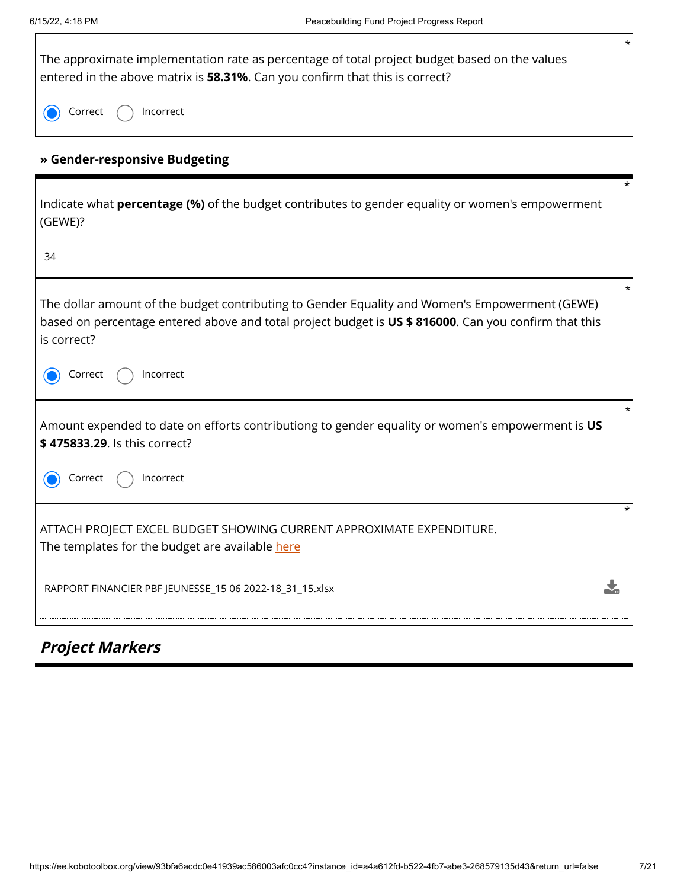$\overline{\phantom{a}}$ 

| The approximate implementation rate as percentage of total project budget based on the values<br>entered in the above matrix is 58.31%. Can you confirm that this is correct?                                          | * |
|------------------------------------------------------------------------------------------------------------------------------------------------------------------------------------------------------------------------|---|
| Correct<br>Incorrect                                                                                                                                                                                                   |   |
| » Gender-responsive Budgeting                                                                                                                                                                                          |   |
| Indicate what percentage (%) of the budget contributes to gender equality or women's empowerment<br>(GEWE)?                                                                                                            |   |
| 34                                                                                                                                                                                                                     |   |
| The dollar amount of the budget contributing to Gender Equality and Women's Empowerment (GEWE)<br>based on percentage entered above and total project budget is US \$ 816000. Can you confirm that this<br>is correct? |   |
| Correct<br>Incorrect                                                                                                                                                                                                   |   |
| Amount expended to date on efforts contributiong to gender equality or women's empowerment is US<br>\$475833.29. Is this correct?                                                                                      |   |
| Incorrect<br>Correct                                                                                                                                                                                                   |   |
| ATTACH PROJECT EXCEL BUDGET SHOWING CURRENT APPROXIMATE EXPENDITURE.<br>The templates for the budget are available here                                                                                                |   |
| RAPPORT FINANCIER PBF JEUNESSE_15 06 2022-18_31_15.xlsx                                                                                                                                                                |   |

## **Project Markers**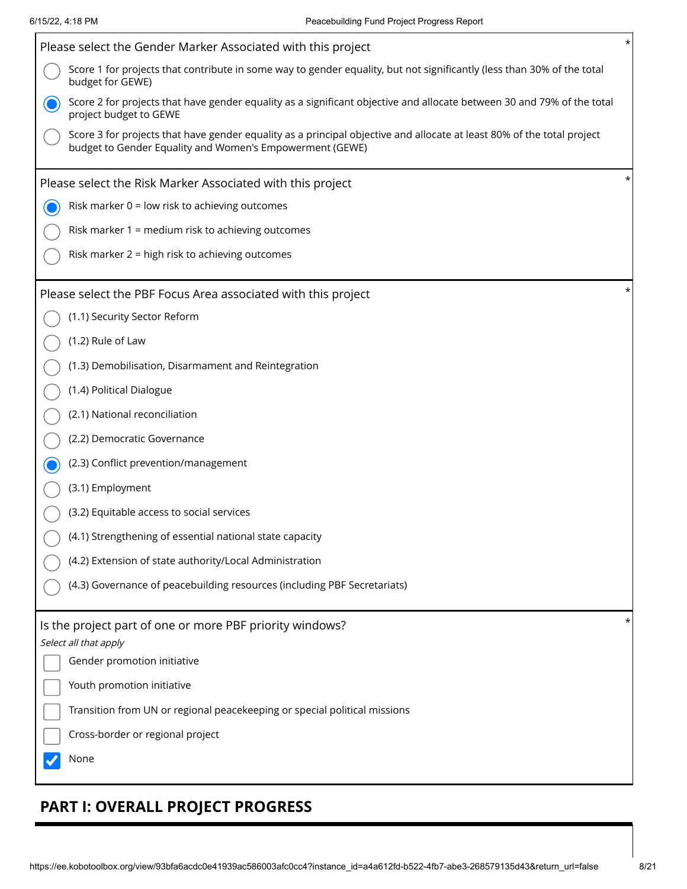| Please select the Gender Marker Associated with this project                                                                                                                       | $^\star$ |
|------------------------------------------------------------------------------------------------------------------------------------------------------------------------------------|----------|
| Score 1 for projects that contribute in some way to gender equality, but not significantly (less than 30% of the total<br>budget for GEWE)                                         |          |
| Score 2 for projects that have gender equality as a significant objective and allocate between 30 and 79% of the total<br>project budget to GEWE                                   |          |
| Score 3 for projects that have gender equality as a principal objective and allocate at least 80% of the total project<br>budget to Gender Equality and Women's Empowerment (GEWE) |          |
| Please select the Risk Marker Associated with this project                                                                                                                         | *        |
| Risk marker $0 =$ low risk to achieving outcomes                                                                                                                                   |          |
| Risk marker 1 = medium risk to achieving outcomes                                                                                                                                  |          |
| Risk marker 2 = high risk to achieving outcomes                                                                                                                                    |          |
| Please select the PBF Focus Area associated with this project                                                                                                                      | $^\star$ |
| (1.1) Security Sector Reform                                                                                                                                                       |          |
| (1.2) Rule of Law                                                                                                                                                                  |          |
| (1.3) Demobilisation, Disarmament and Reintegration                                                                                                                                |          |
| (1.4) Political Dialogue                                                                                                                                                           |          |
| (2.1) National reconciliation                                                                                                                                                      |          |
| (2.2) Democratic Governance                                                                                                                                                        |          |
| (2.3) Conflict prevention/management                                                                                                                                               |          |
| (3.1) Employment                                                                                                                                                                   |          |
| (3.2) Equitable access to social services                                                                                                                                          |          |
| (4.1) Strengthening of essential national state capacity                                                                                                                           |          |
| (4.2) Extension of state authority/Local Administration                                                                                                                            |          |
| (4.3) Governance of peacebuilding resources (including PBF Secretariats)                                                                                                           |          |
| Is the project part of one or more PBF priority windows?                                                                                                                           | *        |
| Select all that apply<br>Gender promotion initiative                                                                                                                               |          |
| Youth promotion initiative                                                                                                                                                         |          |
| Transition from UN or regional peacekeeping or special political missions                                                                                                          |          |
| Cross-border or regional project                                                                                                                                                   |          |
| None                                                                                                                                                                               |          |
|                                                                                                                                                                                    |          |

## **PART I: OVERALL PROJECT PROGRESS**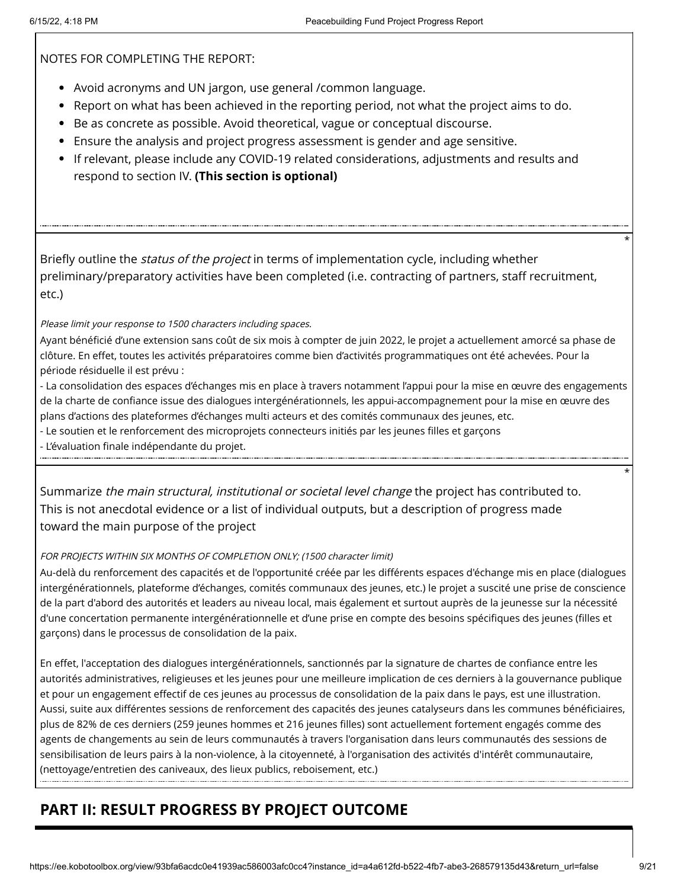NOTES FOR COMPLETING THE REPORT:

- Avoid acronyms and UN jargon, use general /common language.
- Report on what has been achieved in the reporting period, not what the project aims to do.
- **Be as concrete as possible. Avoid theoretical, vague or conceptual discourse.**
- Ensure the analysis and project progress assessment is gender and age sensitive.
- If relevant, please include any COVID-19 related considerations, adjustments and results and respond to section IV. **(This section is optional)**

Briefly outline the *status of the project* in terms of implementation cycle, including whether preliminary/preparatory activities have been completed (i.e. contracting of partners, staff recruitment, etc.)

Please limit your response to 1500 characters including spaces.

Ayant bénéficié d'une extension sans coût de six mois à compter de juin 2022, le projet a actuellement amorcé sa phase de clôture. En effet, toutes les activités préparatoires comme bien d'activités programmatiques ont été achevées. Pour la période résiduelle il est prévu :

- La consolidation des espaces d'échanges mis en place à travers notamment l'appui pour la mise en œuvre des engagements de la charte de confiance issue des dialogues intergénérationnels, les appui-accompagnement pour la mise en œuvre des plans d'actions des plateformes d'échanges multi acteurs et des comités communaux des jeunes, etc.

- Le soutien et le renforcement des microprojets connecteurs initiés par les jeunes filles et garçons

- L'évaluation finale indépendante du projet.

Summarize the main structural, institutional or societal level change the project has contributed to. This is not anecdotal evidence or a list of individual outputs, but a description of progress made toward the main purpose of the project

### FOR PROJECTS WITHIN SIX MONTHS OF COMPLETION ONLY; (1500 character limit)

Au-delà du renforcement des capacités et de l'opportunité créée par les différents espaces d'échange mis en place (dialogues intergénérationnels, plateforme d'échanges, comités communaux des jeunes, etc.) le projet a suscité une prise de conscience de la part d'abord des autorités et leaders au niveau local, mais également et surtout auprès de la jeunesse sur la nécessité d'une concertation permanente intergénérationnelle et d'une prise en compte des besoins spécifiques des jeunes (filles et garçons) dans le processus de consolidation de la paix.

En effet, l'acceptation des dialogues intergénérationnels, sanctionnés par la signature de chartes de confiance entre les autorités administratives, religieuses et les jeunes pour une meilleure implication de ces derniers à la gouvernance publique et pour un engagement effectif de ces jeunes au processus de consolidation de la paix dans le pays, est une illustration. Aussi, suite aux différentes sessions de renforcement des capacités des jeunes catalyseurs dans les communes bénéficiaires, plus de 82% de ces derniers (259 jeunes hommes et 216 jeunes filles) sont actuellement fortement engagés comme des agents de changements au sein de leurs communautés à travers l'organisation dans leurs communautés des sessions de sensibilisation de leurs pairs à la non-violence, à la citoyenneté, à l'organisation des activités d'intérêt communautaire, (nettoyage/entretien des caniveaux, des lieux publics, reboisement, etc.)

## **PART II: RESULT PROGRESS BY PROJECT OUTCOME**

\*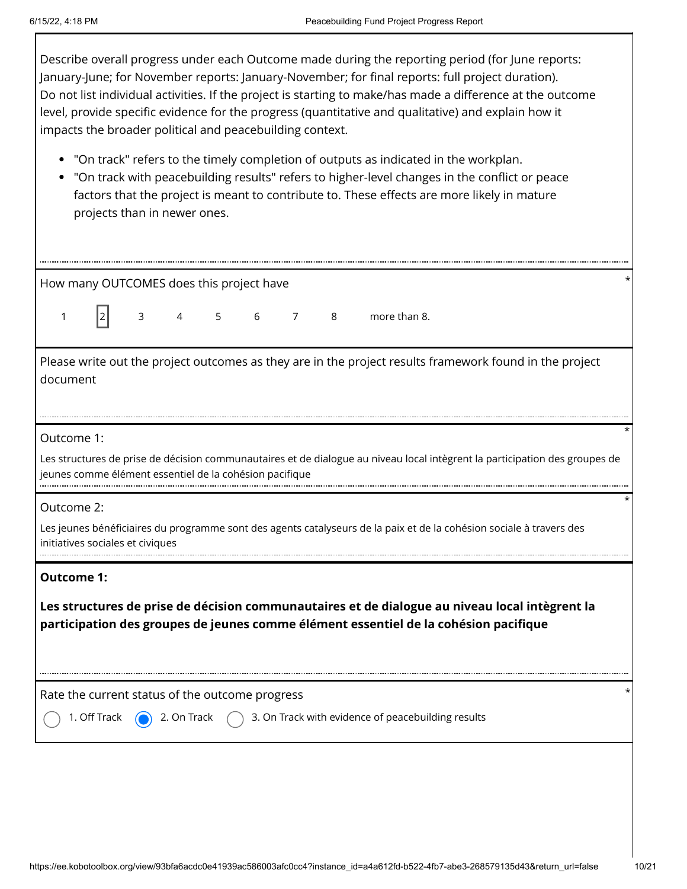Describe overall progress under each Outcome made during the reporting period (for June reports: January-June; for November reports: January-November; for final reports: full project duration). Do not list individual activities. If the project is starting to make/has made a difference at the outcome level, provide specific evidence for the progress (quantitative and qualitative) and explain how it impacts the broader political and peacebuilding context.

- "On track" refers to the timely completion of outputs as indicated in the workplan.
- "On track with peacebuilding results" refers to higher-level changes in the conflict or peace factors that the project is meant to contribute to. These effects are more likely in mature projects than in newer ones.

| How many OUTCOMES does this project have<br> 2 <br>3 4 5 6 7 8<br>more than 8.<br>$\mathbf{1}$<br>Please write out the project outcomes as they are in the project results framework found in the project<br>document<br>Outcome 1:<br>Les structures de prise de décision communautaires et de dialogue au niveau local intègrent la participation des groupes de<br>jeunes comme élément essentiel de la cohésion pacifique<br>Outcome 2:<br>Les jeunes bénéficiaires du programme sont des agents catalyseurs de la paix et de la cohésion sociale à travers des<br>initiatives sociales et civiques<br><b>Outcome 1:</b><br>Les structures de prise de décision communautaires et de dialogue au niveau local intègrent la<br>participation des groupes de jeunes comme élément essentiel de la cohésion pacifique<br>Rate the current status of the outcome progress |  |  |  |  |  |  |  |  |
|---------------------------------------------------------------------------------------------------------------------------------------------------------------------------------------------------------------------------------------------------------------------------------------------------------------------------------------------------------------------------------------------------------------------------------------------------------------------------------------------------------------------------------------------------------------------------------------------------------------------------------------------------------------------------------------------------------------------------------------------------------------------------------------------------------------------------------------------------------------------------|--|--|--|--|--|--|--|--|
|                                                                                                                                                                                                                                                                                                                                                                                                                                                                                                                                                                                                                                                                                                                                                                                                                                                                           |  |  |  |  |  |  |  |  |
|                                                                                                                                                                                                                                                                                                                                                                                                                                                                                                                                                                                                                                                                                                                                                                                                                                                                           |  |  |  |  |  |  |  |  |
|                                                                                                                                                                                                                                                                                                                                                                                                                                                                                                                                                                                                                                                                                                                                                                                                                                                                           |  |  |  |  |  |  |  |  |
|                                                                                                                                                                                                                                                                                                                                                                                                                                                                                                                                                                                                                                                                                                                                                                                                                                                                           |  |  |  |  |  |  |  |  |
|                                                                                                                                                                                                                                                                                                                                                                                                                                                                                                                                                                                                                                                                                                                                                                                                                                                                           |  |  |  |  |  |  |  |  |
|                                                                                                                                                                                                                                                                                                                                                                                                                                                                                                                                                                                                                                                                                                                                                                                                                                                                           |  |  |  |  |  |  |  |  |
| 3. On Track with evidence of peacebuilding results<br>2. On Track<br>1. Off Track                                                                                                                                                                                                                                                                                                                                                                                                                                                                                                                                                                                                                                                                                                                                                                                         |  |  |  |  |  |  |  |  |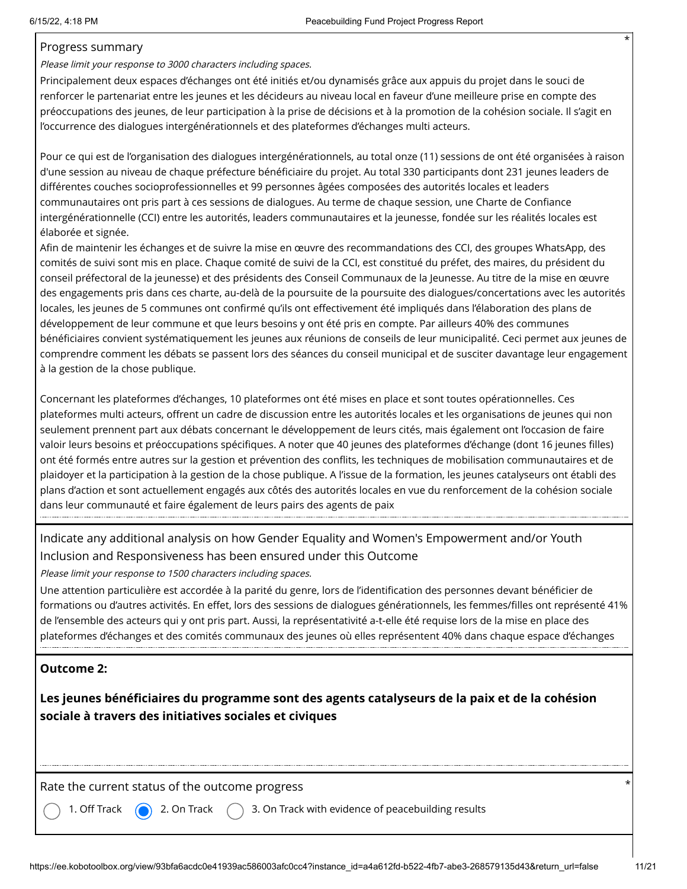### Progress summary

Please limit your response to 3000 characters including spaces.

Principalement deux espaces d'échanges ont été initiés et/ou dynamisés grâce aux appuis du projet dans le souci de renforcer le partenariat entre les jeunes et les décideurs au niveau local en faveur d'une meilleure prise en compte des préoccupations des jeunes, de leur participation à la prise de décisions et à la promotion de la cohésion sociale. Il s'agit en l'occurrence des dialogues intergénérationnels et des plateformes d'échanges multi acteurs.

Pour ce qui est de l'organisation des dialogues intergénérationnels, au total onze (11) sessions de ont été organisées à raison d'une session au niveau de chaque préfecture bénéficiaire du projet. Au total 330 participants dont 231 jeunes leaders de différentes couches socioprofessionnelles et 99 personnes âgées composées des autorités locales et leaders communautaires ont pris part à ces sessions de dialogues. Au terme de chaque session, une Charte de Confiance intergénérationnelle (CCI) entre les autorités, leaders communautaires et la jeunesse, fondée sur les réalités locales est élaborée et signée.

Afin de maintenir les échanges et de suivre la mise en œuvre des recommandations des CCI, des groupes WhatsApp, des comités de suivi sont mis en place. Chaque comité de suivi de la CCI, est constitué du préfet, des maires, du président du conseil préfectoral de la jeunesse) et des présidents des Conseil Communaux de la Jeunesse. Au titre de la mise en œuvre des engagements pris dans ces charte, au-delà de la poursuite de la poursuite des dialogues/concertations avec les autorités locales, les jeunes de 5 communes ont confirmé qu'ils ont effectivement été impliqués dans l'élaboration des plans de développement de leur commune et que leurs besoins y ont été pris en compte. Par ailleurs 40% des communes bénéficiaires convient systématiquement les jeunes aux réunions de conseils de leur municipalité. Ceci permet aux jeunes de comprendre comment les débats se passent lors des séances du conseil municipal et de susciter davantage leur engagement à la gestion de la chose publique.

Concernant les plateformes d'échanges, 10 plateformes ont été mises en place et sont toutes opérationnelles. Ces plateformes multi acteurs, offrent un cadre de discussion entre les autorités locales et les organisations de jeunes qui non seulement prennent part aux débats concernant le développement de leurs cités, mais également ont l'occasion de faire valoir leurs besoins et préoccupations spécifiques. A noter que 40 jeunes des plateformes d'échange (dont 16 jeunes filles) ont été formés entre autres sur la gestion et prévention des conflits, les techniques de mobilisation communautaires et de plaidoyer et la participation à la gestion de la chose publique. A l'issue de la formation, les jeunes catalyseurs ont établi des plans d'action et sont actuellement engagés aux côtés des autorités locales en vue du renforcement de la cohésion sociale dans leur communauté et faire également de leurs pairs des agents de paix

Indicate any additional analysis on how Gender Equality and Women's Empowerment and/or Youth Inclusion and Responsiveness has been ensured under this Outcome

Please limit your response to 1500 characters including spaces.

Une attention particulière est accordée à la parité du genre, lors de l'identification des personnes devant bénéficier de formations ou d'autres activités. En effet, lors des sessions de dialogues générationnels, les femmes/filles ont représenté 41% de l'ensemble des acteurs qui y ont pris part. Aussi, la représentativité a-t-elle été requise lors de la mise en place des plateformes d'échanges et des comités communaux des jeunes où elles représentent 40% dans chaque espace d'échanges

### **Outcome 2:**

**Les jeunes bénéficiaires du programme sont des agents catalyseurs de la paix et de la cohésion sociale à travers des initiatives sociales et civiques**

Rate the current status of the outcome progress

1. Off Track  $\bigcirc$  2. On Track  $\bigcirc$  3. On Track with evidence of peacebuilding results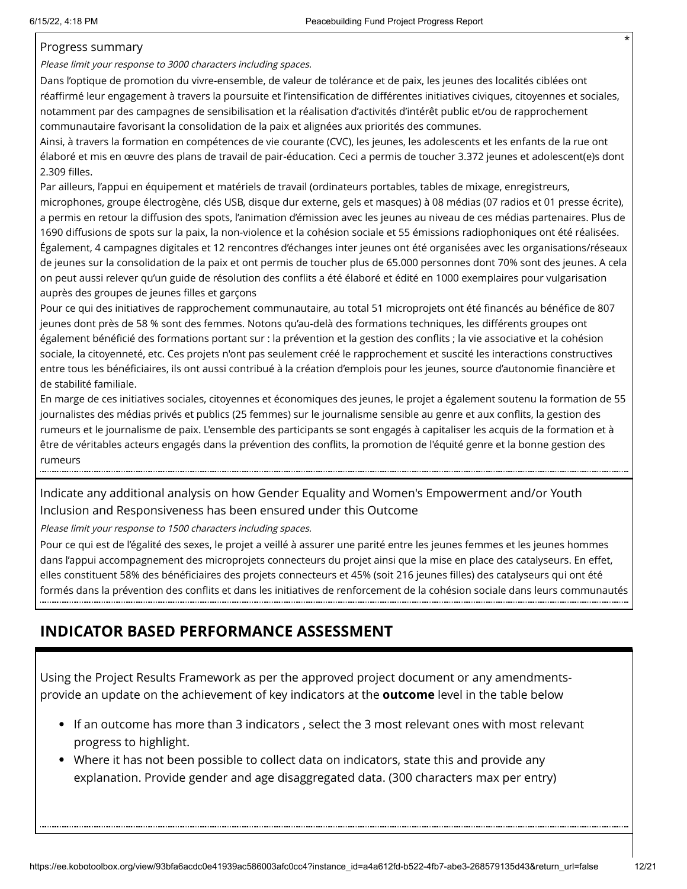### Progress summary

Please limit your response to 3000 characters including spaces.

Dans l'optique de promotion du vivre-ensemble, de valeur de tolérance et de paix, les jeunes des localités ciblées ont réaffirmé leur engagement à travers la poursuite et l'intensification de différentes initiatives civiques, citoyennes et sociales, notamment par des campagnes de sensibilisation et la réalisation d'activités d'intérêt public et/ou de rapprochement communautaire favorisant la consolidation de la paix et alignées aux priorités des communes.

Ainsi, à travers la formation en compétences de vie courante (CVC), les jeunes, les adolescents et les enfants de la rue ont élaboré et mis en œuvre des plans de travail de pair-éducation. Ceci a permis de toucher 3.372 jeunes et adolescent(e)s dont 2.309 filles.

Par ailleurs, l'appui en équipement et matériels de travail (ordinateurs portables, tables de mixage, enregistreurs, microphones, groupe électrogène, clés USB, disque dur externe, gels et masques) à 08 médias (07 radios et 01 presse écrite), a permis en retour la diffusion des spots, l'animation d'émission avec les jeunes au niveau de ces médias partenaires. Plus de 1690 diffusions de spots sur la paix, la non-violence et la cohésion sociale et 55 émissions radiophoniques ont été réalisées. Également, 4 campagnes digitales et 12 rencontres d'échanges inter jeunes ont été organisées avec les organisations/réseaux de jeunes sur la consolidation de la paix et ont permis de toucher plus de 65.000 personnes dont 70% sont des jeunes. A cela on peut aussi relever qu'un guide de résolution des conflits a été élaboré et édité en 1000 exemplaires pour vulgarisation auprès des groupes de jeunes filles et garçons

Pour ce qui des initiatives de rapprochement communautaire, au total 51 microprojets ont été financés au bénéfice de 807 jeunes dont près de 58 % sont des femmes. Notons qu'au-delà des formations techniques, les différents groupes ont également bénéficié des formations portant sur : la prévention et la gestion des conflits ; la vie associative et la cohésion sociale, la citoyenneté, etc. Ces projets n'ont pas seulement créé le rapprochement et suscité les interactions constructives entre tous les bénéficiaires, ils ont aussi contribué à la création d'emplois pour les jeunes, source d'autonomie financière et de stabilité familiale.

En marge de ces initiatives sociales, citoyennes et économiques des jeunes, le projet a également soutenu la formation de 55 journalistes des médias privés et publics (25 femmes) sur le journalisme sensible au genre et aux conflits, la gestion des rumeurs et le journalisme de paix. L'ensemble des participants se sont engagés à capitaliser les acquis de la formation et à être de véritables acteurs engagés dans la prévention des conflits, la promotion de l'équité genre et la bonne gestion des rumeurs

Indicate any additional analysis on how Gender Equality and Women's Empowerment and/or Youth Inclusion and Responsiveness has been ensured under this Outcome

Please limit your response to 1500 characters including spaces.

Pour ce qui est de l'égalité des sexes, le projet a veillé à assurer une parité entre les jeunes femmes et les jeunes hommes dans l'appui accompagnement des microprojets connecteurs du projet ainsi que la mise en place des catalyseurs. En effet, elles constituent 58% des bénéficiaires des projets connecteurs et 45% (soit 216 jeunes filles) des catalyseurs qui ont été formés dans la prévention des conflits et dans les initiatives de renforcement de la cohésion sociale dans leurs communautés

## **INDICATOR BASED PERFORMANCE ASSESSMENT**

Using the Project Results Framework as per the approved project document or any amendmentsprovide an update on the achievement of key indicators at the **outcome** level in the table below

- If an outcome has more than 3 indicators , select the 3 most relevant ones with most relevant progress to highlight.
- Where it has not been possible to collect data on indicators, state this and provide any explanation. Provide gender and age disaggregated data. (300 characters max per entry)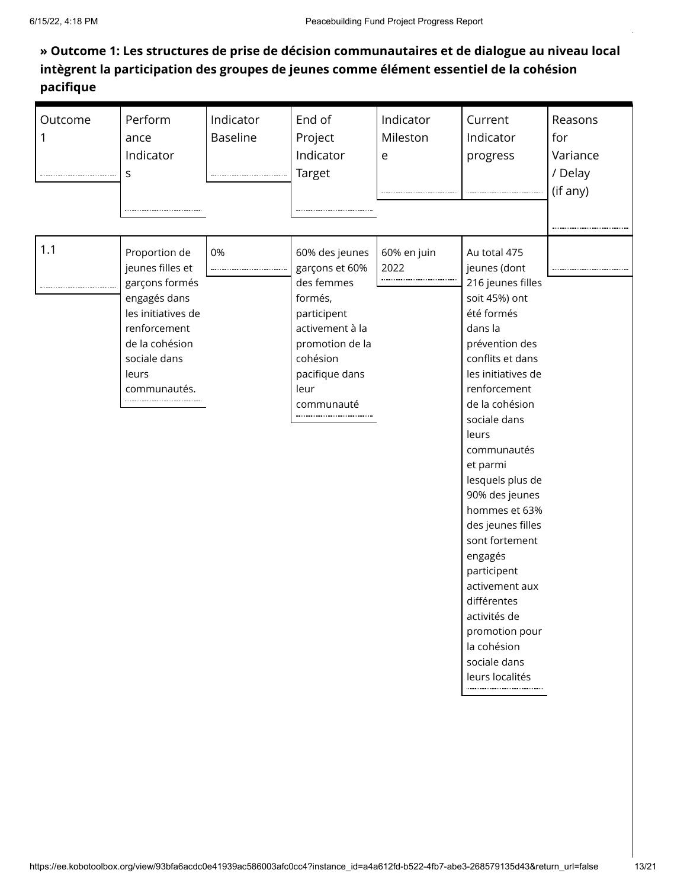### **» Outcome 1: Les structures de prise de décision communautaires et de dialogue au niveau local intègrent la participation des groupes de jeunes comme élément essentiel de la cohésion pacifique**

| Outcome<br>1 | Perform<br>ance<br>Indicator<br>S                                                                                                                                        | Indicator<br>Baseline | End of<br>Project<br>Indicator<br>Target                                                                                                                           | Indicator<br>Mileston<br>e | Current<br>Indicator<br>progress                                                                                                                                                                                                                                                                                                                                                                                                                                                           | Reasons<br>for<br>Variance<br>/ Delay<br>(if any) |
|--------------|--------------------------------------------------------------------------------------------------------------------------------------------------------------------------|-----------------------|--------------------------------------------------------------------------------------------------------------------------------------------------------------------|----------------------------|--------------------------------------------------------------------------------------------------------------------------------------------------------------------------------------------------------------------------------------------------------------------------------------------------------------------------------------------------------------------------------------------------------------------------------------------------------------------------------------------|---------------------------------------------------|
| 1.1          | Proportion de<br>jeunes filles et<br>garçons formés<br>engagés dans<br>les initiatives de<br>renforcement<br>de la cohésion<br>sociale dans<br>leurs<br>communautés.<br> | 0%                    | 60% des jeunes<br>garçons et 60%<br>des femmes<br>formés,<br>participent<br>activement à la<br>promotion de la<br>cohésion<br>pacifique dans<br>leur<br>communauté | 60% en juin<br>2022        | Au total 475<br>jeunes (dont<br>216 jeunes filles<br>soit 45%) ont<br>été formés<br>dans la<br>prévention des<br>conflits et dans<br>les initiatives de<br>renforcement<br>de la cohésion<br>sociale dans<br>leurs<br>communautés<br>et parmi<br>lesquels plus de<br>90% des jeunes<br>hommes et 63%<br>des jeunes filles<br>sont fortement<br>engagés<br>participent<br>activement aux<br>différentes<br>activités de<br>promotion pour<br>la cohésion<br>sociale dans<br>leurs localités |                                                   |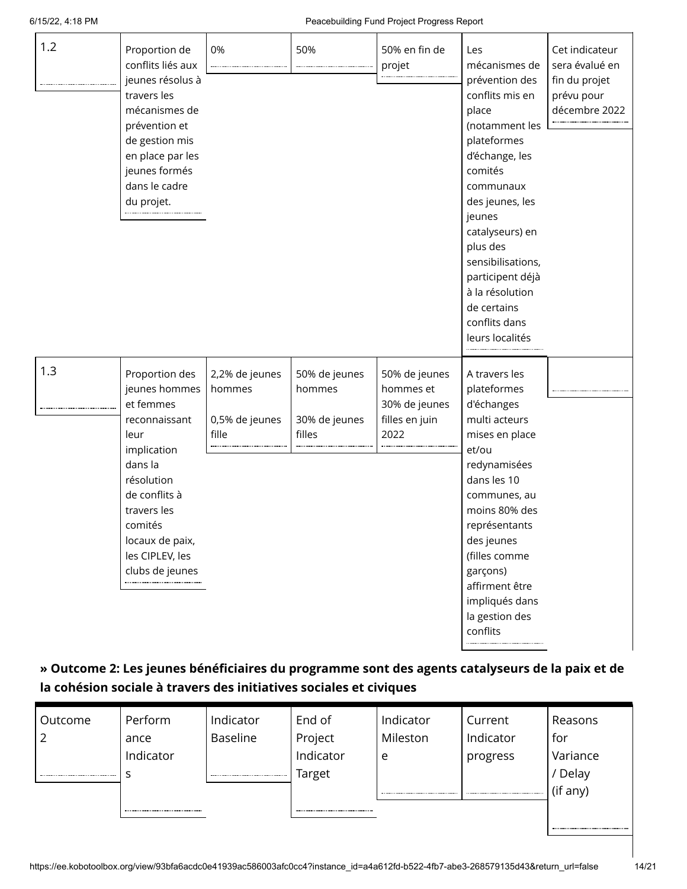| 1.2 | Proportion de<br>conflits liés aux<br>jeunes résolus à<br>travers les<br>mécanismes de<br>prévention et<br>de gestion mis<br>en place par les<br>jeunes formés<br>dans le cadre<br>du projet.                     | 0%                                                  | 50%                                                | 50% en fin de<br>projet                                               | Les<br>mécanismes de<br>prévention des<br>conflits mis en<br>place<br>(notamment les<br>plateformes<br>d'échange, les<br>comités<br>communaux<br>des jeunes, les<br>jeunes<br>catalyseurs) en<br>plus des<br>sensibilisations,<br>participent déjà<br>à la résolution<br>de certains<br>conflits dans<br>leurs localités | Cet indicateur<br>sera évalué en<br>fin du projet<br>prévu pour<br>décembre 2022 |
|-----|-------------------------------------------------------------------------------------------------------------------------------------------------------------------------------------------------------------------|-----------------------------------------------------|----------------------------------------------------|-----------------------------------------------------------------------|--------------------------------------------------------------------------------------------------------------------------------------------------------------------------------------------------------------------------------------------------------------------------------------------------------------------------|----------------------------------------------------------------------------------|
| 1.3 | Proportion des<br>jeunes hommes<br>et femmes<br>reconnaissant<br>leur<br>implication<br>dans la<br>résolution<br>de conflits à<br>travers les<br>comités<br>locaux de paix,<br>les CIPLEV, les<br>clubs de jeunes | 2,2% de jeunes<br>hommes<br>0,5% de jeunes<br>fille | 50% de jeunes<br>hommes<br>30% de jeunes<br>filles | 50% de jeunes<br>hommes et<br>30% de jeunes<br>filles en juin<br>2022 | A travers les<br>plateformes<br>d'échanges<br>multi acteurs<br>mises en place<br>et/ou<br>redynamisées<br>dans les 10<br>communes, au<br>moins 80% des<br>représentants<br>des jeunes<br>(filles comme<br>garçons)<br>affirment être<br>impliqués dans<br>la gestion des<br>conflits                                     |                                                                                  |

## **» Outcome 2: Les jeunes bénéficiaires du programme sont des agents catalyseurs de la paix et de la cohésion sociale à travers des initiatives sociales et civiques**

| Outcome | Perform   | Indicator       | End of    | Indicator | Current   | Reasons  |
|---------|-----------|-----------------|-----------|-----------|-----------|----------|
|         | ance      | <b>Baseline</b> | Project   | Mileston  | Indicator | for      |
|         | Indicator |                 | Indicator | e         | progress  | Variance |
|         | S         |                 | Target    |           |           | / Delay  |
|         |           |                 |           |           |           | (if any) |
|         |           |                 |           |           |           |          |
|         |           |                 |           |           |           |          |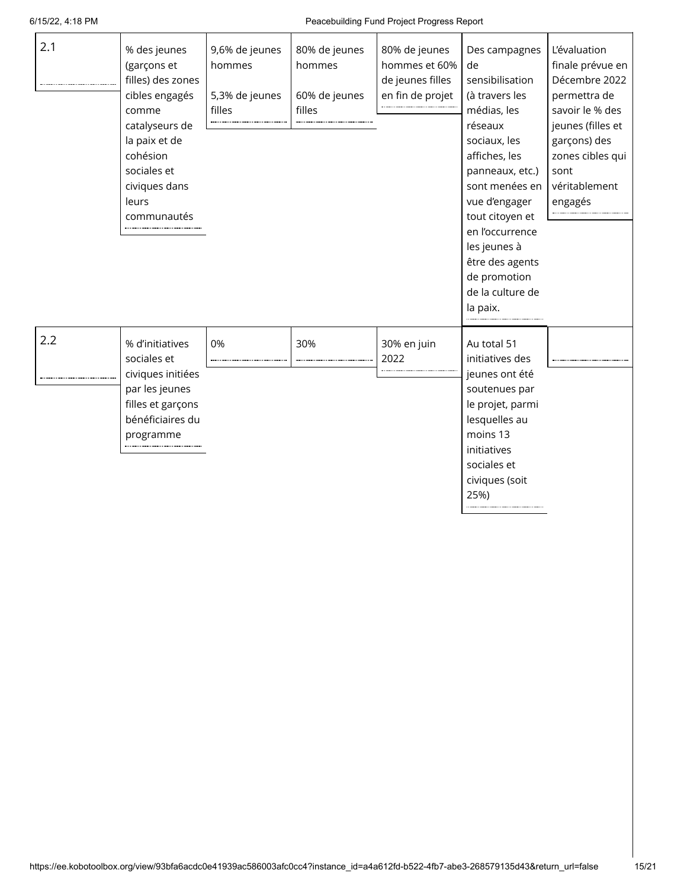| 2.1 | % des jeunes<br>(garçons et<br>filles) des zones<br>cibles engagés<br>comme<br>catalyseurs de<br>la paix et de<br>cohésion<br>sociales et<br>civiques dans<br>leurs<br>communautés | 9,6% de jeunes<br>hommes<br>5,3% de jeunes<br>filles | 80% de jeunes<br>hommes<br>60% de jeunes<br>filles | 80% de jeunes<br>hommes et 60%<br>de jeunes filles<br>en fin de projet | Des campagnes<br>de<br>sensibilisation<br>(à travers les<br>médias, les<br>réseaux<br>sociaux, les<br>affiches, les<br>panneaux, etc.)<br>sont menées en<br>vue d'engager<br>tout citoyen et<br>en l'occurrence<br>les jeunes à<br>être des agents<br>de promotion<br>de la culture de<br>la paix. | L'évaluation<br>finale prévue en<br>Décembre 2022<br>permettra de<br>savoir le % des<br>jeunes (filles et<br>garçons) des<br>zones cibles qui<br>sont<br>véritablement<br>engagés |
|-----|------------------------------------------------------------------------------------------------------------------------------------------------------------------------------------|------------------------------------------------------|----------------------------------------------------|------------------------------------------------------------------------|----------------------------------------------------------------------------------------------------------------------------------------------------------------------------------------------------------------------------------------------------------------------------------------------------|-----------------------------------------------------------------------------------------------------------------------------------------------------------------------------------|
| 2.2 | % d'initiatives<br>sociales et<br>civiques initiées<br>par les jeunes<br>filles et garçons<br>bénéficiaires du<br>programme                                                        | 0%                                                   | 30%                                                | 30% en juin<br>2022                                                    | Au total 51<br>initiatives des<br>jeunes ont été<br>soutenues par<br>le projet, parmi<br>lesquelles au<br>moins 13<br>initiatives<br>sociales et<br>civiques (soit<br>25%)                                                                                                                         |                                                                                                                                                                                   |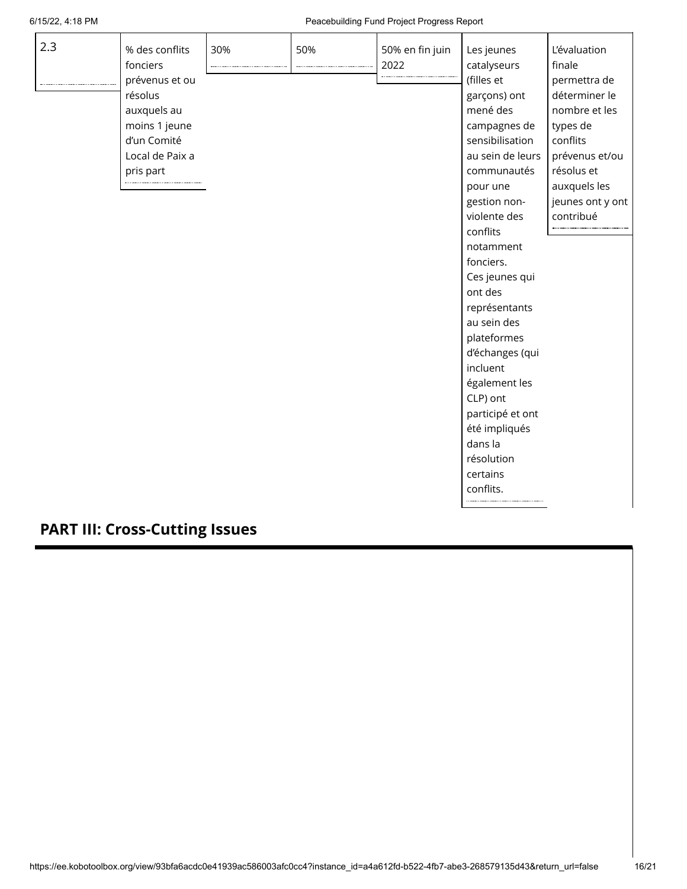| 2.3 | % des conflits  | 30% | 50% | 50% en fin juin | Les jeunes       | L'évaluation     |
|-----|-----------------|-----|-----|-----------------|------------------|------------------|
|     | fonciers        |     |     | 2022            | catalyseurs      | finale           |
|     | prévenus et ou  |     |     |                 | (filles et       | permettra de     |
|     | résolus         |     |     |                 | garçons) ont     | déterminer le    |
|     | auxquels au     |     |     |                 | mené des         | nombre et les    |
|     | moins 1 jeune   |     |     |                 | campagnes de     | types de         |
|     | d'un Comité     |     |     |                 | sensibilisation  | conflits         |
|     | Local de Paix a |     |     |                 | au sein de leurs | prévenus et/ou   |
|     | pris part       |     |     |                 | communautés      | résolus et       |
|     |                 |     |     |                 | pour une         | auxquels les     |
|     |                 |     |     |                 | gestion non-     | jeunes ont y ont |
|     |                 |     |     |                 | violente des     | contribué        |
|     |                 |     |     |                 | conflits         |                  |
|     |                 |     |     |                 | notamment        |                  |
|     |                 |     |     |                 | fonciers.        |                  |
|     |                 |     |     |                 | Ces jeunes qui   |                  |
|     |                 |     |     |                 | ont des          |                  |
|     |                 |     |     |                 | représentants    |                  |
|     |                 |     |     |                 | au sein des      |                  |
|     |                 |     |     |                 | plateformes      |                  |
|     |                 |     |     |                 | d'échanges (qui  |                  |
|     |                 |     |     |                 | incluent         |                  |
|     |                 |     |     |                 | également les    |                  |
|     |                 |     |     |                 | CLP) ont         |                  |
|     |                 |     |     |                 | participé et ont |                  |
|     |                 |     |     |                 | été impliqués    |                  |
|     |                 |     |     |                 | dans la          |                  |
|     |                 |     |     |                 | résolution       |                  |
|     |                 |     |     |                 | certains         |                  |
|     |                 |     |     |                 | conflits.        |                  |
|     |                 |     |     |                 |                  |                  |

## **PART III: Cross-Cutting Issues**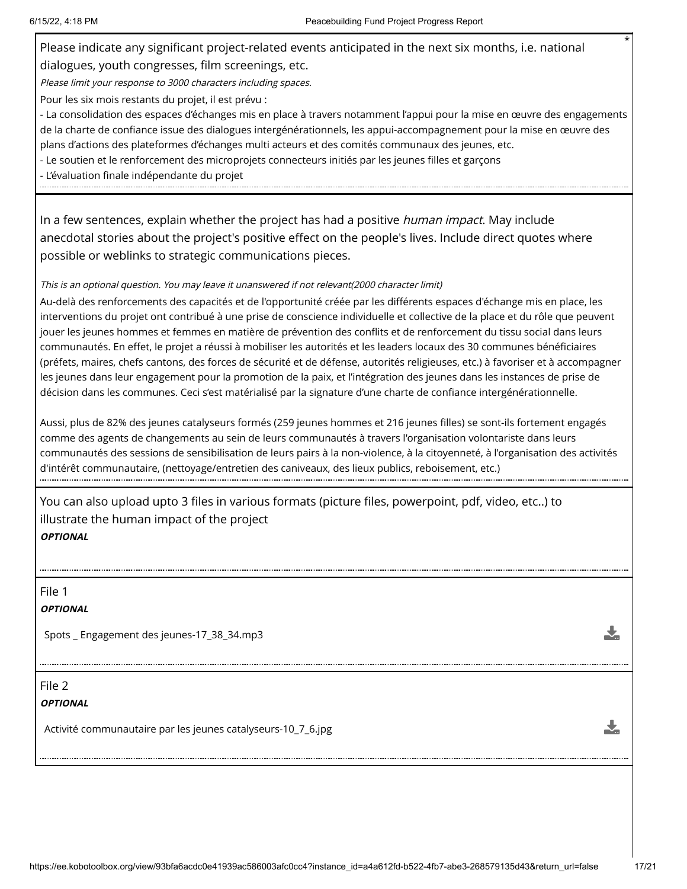Please indicate any significant project-related events anticipated in the next six months, i.e. national dialogues, youth congresses, film screenings, etc.

Please limit your response to 3000 characters including spaces.

Pour les six mois restants du projet, il est prévu :

- La consolidation des espaces d'échanges mis en place à travers notamment l'appui pour la mise en œuvre des engagements de la charte de confiance issue des dialogues intergénérationnels, les appui-accompagnement pour la mise en œuvre des plans d'actions des plateformes d'échanges multi acteurs et des comités communaux des jeunes, etc.

- Le soutien et le renforcement des microprojets connecteurs initiés par les jeunes filles et garçons

- L'évaluation finale indépendante du projet

In a few sentences, explain whether the project has had a positive *human impact*. May include anecdotal stories about the project's positive effect on the people's lives. Include direct quotes where possible or weblinks to strategic communications pieces.

### This is an optional question. You may leave it unanswered if not relevant(2000 character limit)

Au-delà des renforcements des capacités et de l'opportunité créée par les différents espaces d'échange mis en place, les interventions du projet ont contribué à une prise de conscience individuelle et collective de la place et du rôle que peuvent jouer les jeunes hommes et femmes en matière de prévention des conflits et de renforcement du tissu social dans leurs communautés. En effet, le projet a réussi à mobiliser les autorités et les leaders locaux des 30 communes bénéficiaires (préfets, maires, chefs cantons, des forces de sécurité et de défense, autorités religieuses, etc.) à favoriser et à accompagner les jeunes dans leur engagement pour la promotion de la paix, et l'intégration des jeunes dans les instances de prise de décision dans les communes. Ceci s'est matérialisé par la signature d'une charte de confiance intergénérationnelle.

Aussi, plus de 82% des jeunes catalyseurs formés (259 jeunes hommes et 216 jeunes filles) se sont-ils fortement engagés comme des agents de changements au sein de leurs communautés à travers l'organisation volontariste dans leurs communautés des sessions de sensibilisation de leurs pairs à la non-violence, à la citoyenneté, à l'organisation des activités d'intérêt communautaire, (nettoyage/entretien des caniveaux, des lieux publics, reboisement, etc.)

You can also upload upto 3 files in various formats (picture files, powerpoint, pdf, video, etc..) to illustrate the human impact of the project **OPTIONAL**

File 1

**OPTIONAL**

Spots \_ Engagement des jeunes-17\_38\_34.mp3

File 2

**OPTIONAL**

Activité communautaire par les jeunes catalyseurs-10\_7\_6.jpg

 $\bigstar$ 

J.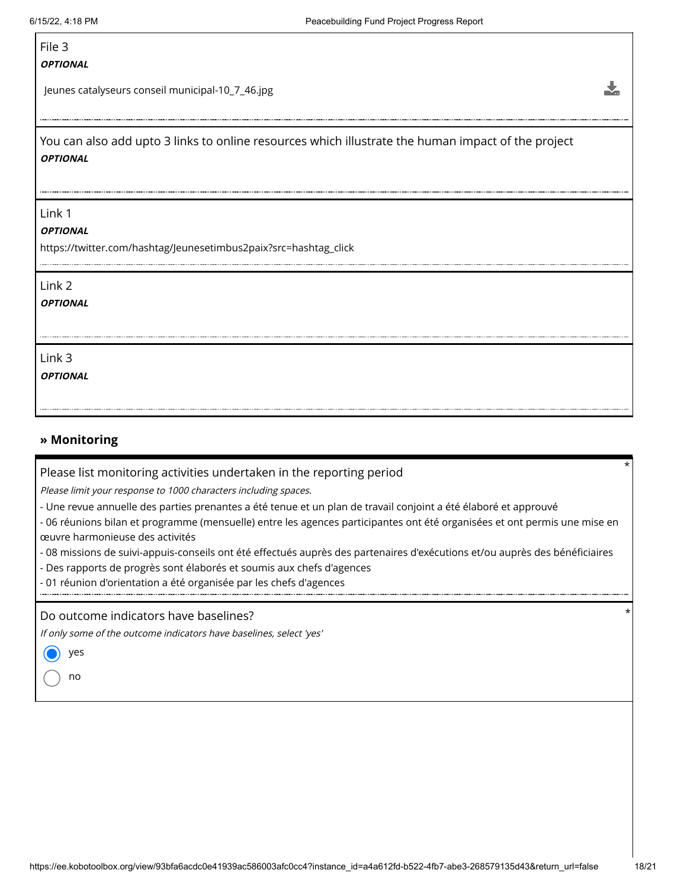### File 3

#### **OPTIONAL**

Jeunes catalyseurs conseil municipal-10\_7\_46.jpg

You can also add upto 3 links to online resources which illustrate the human impact of the project **OPTIONAL**

#### Link 1

#### **OPTIONAL**

https://twitter.com/hashtag/Jeunesetimbus2paix?src=hashtag\_click

Link 2

**OPTIONAL**

Link 3

**OPTIONAL**

### **» Monitoring**

Please list monitoring activities undertaken in the reporting period

Please limit your response to 1000 characters including spaces.

- Une revue annuelle des parties prenantes a été tenue et un plan de travail conjoint a été élaboré et approuvé

- 06 réunions bilan et programme (mensuelle) entre les agences participantes ont été organisées et ont permis une mise en œuvre harmonieuse des activités

- 08 missions de suivi-appuis-conseils ont été effectués auprès des partenaires d'exécutions et/ou auprès des bénéficiaires

- Des rapports de progrès sont élaborés et soumis aux chefs d'agences

- 01 réunion d'orientation a été organisée par les chefs d'agences

Do outcome indicators have baselines?

If only some of the outcome indicators have baselines, select 'yes'

yes

no

J,

\*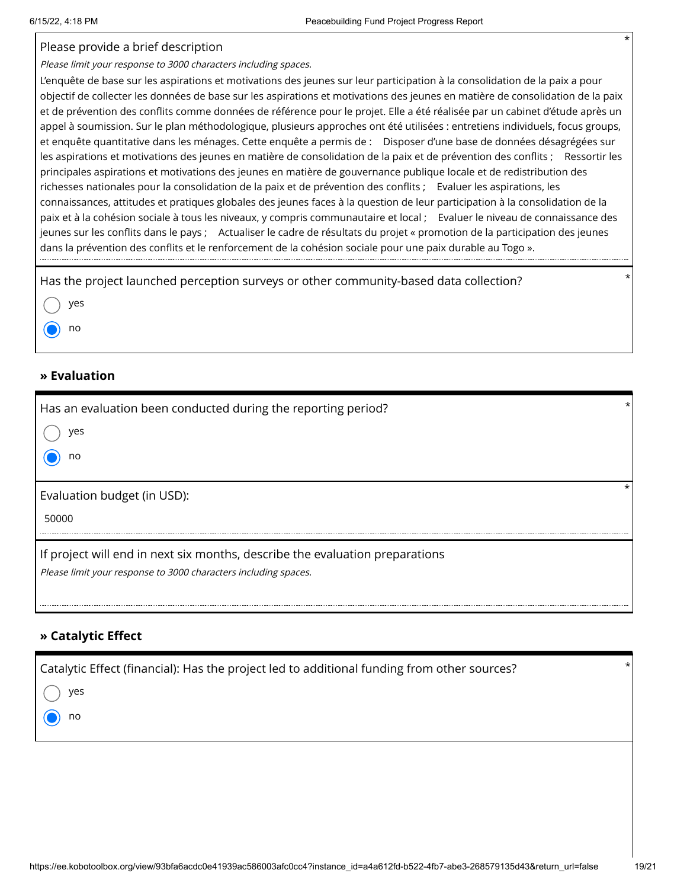#### Please provide a brief description

Please limit your response to 3000 characters including spaces.

L'enquête de base sur les aspirations et motivations des jeunes sur leur participation à la consolidation de la paix a pour objectif de collecter les données de base sur les aspirations et motivations des jeunes en matière de consolidation de la paix et de prévention des conflits comme données de référence pour le projet. Elle a été réalisée par un cabinet d'étude après un appel à soumission. Sur le plan méthodologique, plusieurs approches ont été utilisées : entretiens individuels, focus groups, et enquête quantitative dans les ménages. Cette enquête a permis de : Disposer d'une base de données désagrégées sur les aspirations et motivations des jeunes en matière de consolidation de la paix et de prévention des conflits ; Ressortir les principales aspirations et motivations des jeunes en matière de gouvernance publique locale et de redistribution des richesses nationales pour la consolidation de la paix et de prévention des conflits ; Evaluer les aspirations, les connaissances, attitudes et pratiques globales des jeunes faces à la question de leur participation à la consolidation de la paix et à la cohésion sociale à tous les niveaux, y compris communautaire et local ; Evaluer le niveau de connaissance des jeunes sur les conflits dans le pays ; Actualiser le cadre de résultats du projet « promotion de la participation des jeunes dans la prévention des conflits et le renforcement de la cohésion sociale pour une paix durable au Togo ».

| Has the project launched perception surveys or other community-based data collection? |  |  |
|---------------------------------------------------------------------------------------|--|--|
|                                                                                       |  |  |

- yes
- no

### **» Evaluation**

| Has an evaluation been conducted during the reporting period?                | $\star$ |
|------------------------------------------------------------------------------|---------|
| yes                                                                          |         |
| no                                                                           |         |
|                                                                              |         |
| Evaluation budget (in USD):                                                  |         |
| 50000                                                                        |         |
| If project will end in next six months, describe the evaluation preparations |         |
| Please limit your response to 3000 characters including spaces.              |         |
|                                                                              |         |

### **» Catalytic Effect**

| Catalytic Effect (financial): Has the project led to additional funding from other sources? | $\star$ |
|---------------------------------------------------------------------------------------------|---------|
| $( )$ yes                                                                                   |         |
| $\odot$ no                                                                                  |         |
|                                                                                             |         |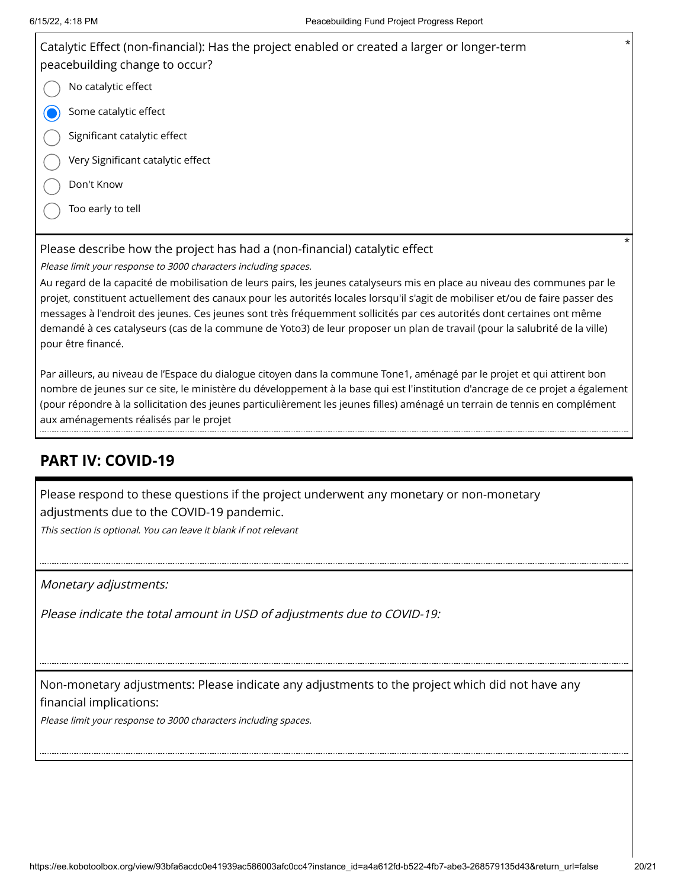| Catalytic Effect (non-financial): Has the project enabled or created a larger or longer-term<br>peacebuilding change to occur? |
|--------------------------------------------------------------------------------------------------------------------------------|
| No catalytic effect                                                                                                            |
| Some catalytic effect                                                                                                          |
| Significant catalytic effect                                                                                                   |
| Very Significant catalytic effect                                                                                              |
| Don't Know                                                                                                                     |
| Too early to tell                                                                                                              |
|                                                                                                                                |
| Please describe how the project has had a (non-financial) catalytic effect                                                     |
| Please limit your response to 3000 characters including spaces.                                                                |

Au regard de la capacité de mobilisation de leurs pairs, les jeunes catalyseurs mis en place au niveau des communes par le projet, constituent actuellement des canaux pour les autorités locales lorsqu'il s'agit de mobiliser et/ou de faire passer des messages à l'endroit des jeunes. Ces jeunes sont très fréquemment sollicités par ces autorités dont certaines ont même demandé à ces catalyseurs (cas de la commune de Yoto3) de leur proposer un plan de travail (pour la salubrité de la ville) pour être financé.

Par ailleurs, au niveau de l'Espace du dialogue citoyen dans la commune Tone1, aménagé par le projet et qui attirent bon nombre de jeunes sur ce site, le ministère du développement à la base qui est l'institution d'ancrage de ce projet a également (pour répondre à la sollicitation des jeunes particulièrement les jeunes filles) aménagé un terrain de tennis en complément aux aménagements réalisés par le projet

## **PART IV: COVID-19**

Please respond to these questions if the project underwent any monetary or non-monetary adjustments due to the COVID-19 pandemic.

This section is optional. You can leave it blank if not relevant

Monetary adjustments:

Please indicate the total amount in USD of adjustments due to COVID-19:

Non-monetary adjustments: Please indicate any adjustments to the project which did not have any financial implications:

Please limit your response to 3000 characters including spaces.

\*